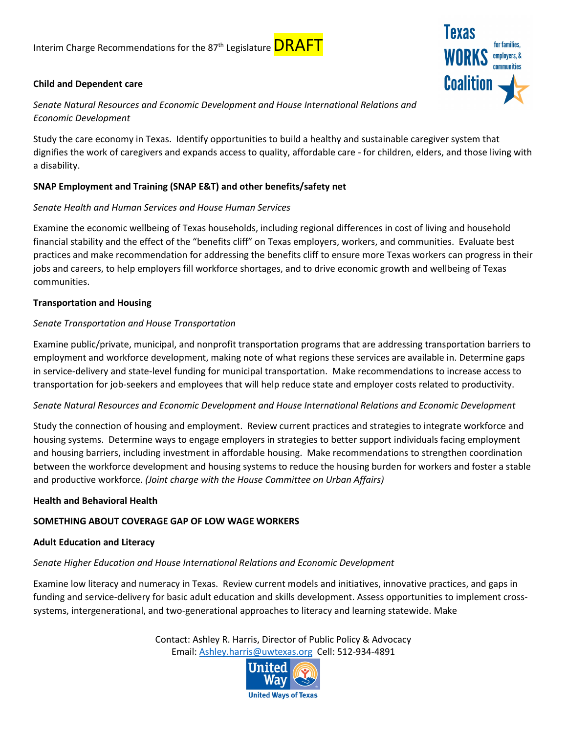## **Child and Dependent care**

*Senate Natural Resources and Economic Development and House International Relations and Economic Development*

Study the care economy in Texas. Identify opportunities to build a healthy and sustainable caregiver system that dignifies the work of caregivers and expands access to quality, affordable care - for children, elders, and those living with a disability.

# **SNAP Employment and Training (SNAP E&T) and other benefits/safety net**

## *Senate Health and Human Services and House Human Services*

Examine the economic wellbeing of Texas households, including regional differences in cost of living and household financial stability and the effect of the "benefits cliff" on Texas employers, workers, and communities. Evaluate best practices and make recommendation for addressing the benefits cliff to ensure more Texas workers can progress in their jobs and careers, to help employers fill workforce shortages, and to drive economic growth and wellbeing of Texas communities.

## **Transportation and Housing**

## *Senate Transportation and House Transportation*

Examine public/private, municipal, and nonprofit transportation programs that are addressing transportation barriers to employment and workforce development, making note of what regions these services are available in. Determine gaps in service-delivery and state-level funding for municipal transportation. Make recommendations to increase access to transportation for job-seekers and employees that will help reduce state and employer costs related to productivity.

### *Senate Natural Resources and Economic Development and House International Relations and Economic Development*

Study the connection of housing and employment. Review current practices and strategies to integrate workforce and housing systems. Determine ways to engage employers in strategies to better support individuals facing employment and housing barriers, including investment in affordable housing. Make recommendations to strengthen coordination between the workforce development and housing systems to reduce the housing burden for workers and foster a stable and productive workforce. *(Joint charge with the House Committee on Urban Affairs)*

### **Health and Behavioral Health**

# **SOMETHING ABOUT COVERAGE GAP OF LOW WAGE WORKERS**

### **Adult Education and Literacy**

### *Senate Higher Education and House International Relations and Economic Development*

Examine low literacy and numeracy in Texas. Review current models and initiatives, innovative practices, and gaps in funding and service-delivery for basic adult education and skills development. Assess opportunities to implement crosssystems, intergenerational, and two-generational approaches to literacy and learning statewide. Make

> Contact: Ashley R. Harris, Director of Public Policy & Advocacy Email: [Ashley.harris@uwtexas.org](mailto:Ashley.harris@uwtexas.org) Cell: 512-934-4891